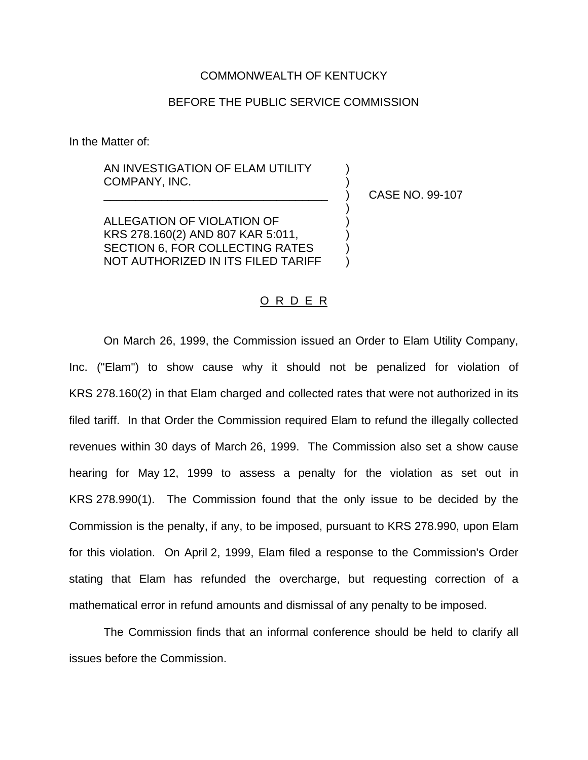## COMMONWEALTH OF KENTUCKY

## BEFORE THE PUBLIC SERVICE COMMISSION

In the Matter of:

AN INVESTIGATION OF ELAM UTILITY COMPANY, INC. )

\_\_\_\_\_\_\_\_\_\_\_\_\_\_\_\_\_\_\_\_\_\_\_\_\_\_\_\_\_\_\_\_\_\_\_ ) CASE NO. 99-107

)

ALLEGATION OF VIOLATION OF ) KRS 278.160(2) AND 807 KAR 5:011, SECTION 6, FOR COLLECTING RATES NOT AUTHORIZED IN ITS FILED TARIFF )

## O R D E R

On March 26, 1999, the Commission issued an Order to Elam Utility Company, Inc. ("Elam") to show cause why it should not be penalized for violation of KRS 278.160(2) in that Elam charged and collected rates that were not authorized in its filed tariff. In that Order the Commission required Elam to refund the illegally collected revenues within 30 days of March 26, 1999. The Commission also set a show cause hearing for May 12, 1999 to assess a penalty for the violation as set out in KRS 278.990(1). The Commission found that the only issue to be decided by the Commission is the penalty, if any, to be imposed, pursuant to KRS 278.990, upon Elam for this violation. On April 2, 1999, Elam filed a response to the Commission's Order stating that Elam has refunded the overcharge, but requesting correction of a mathematical error in refund amounts and dismissal of any penalty to be imposed.

The Commission finds that an informal conference should be held to clarify all issues before the Commission.